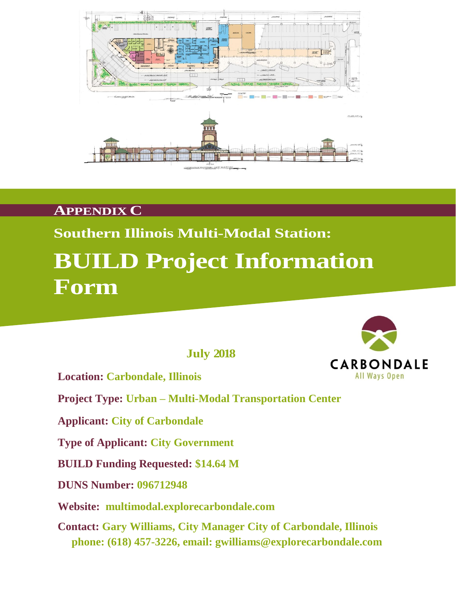

## **APPENDIX C**

## **Southern Illinois Multi-Modal Station:**

# **BUILD Project Information Form**

 **July 2018**

**Location: Carbondale, Illinois**

**Project Type: Urban – Multi-Modal Transportation Center**

**Applicant: City of Carbondale**

**Type of Applicant: City Government**

**BUILD Funding Requested: \$14.64 M** 

**DUNS Number: 096712948**

**Website: multimodal.explorecarbondale.com**

**Contact: Gary Williams, City Manager City of Carbondale, Illinois phone: (618) 457-3226, email: gwilliams@explorecarbondale.com**

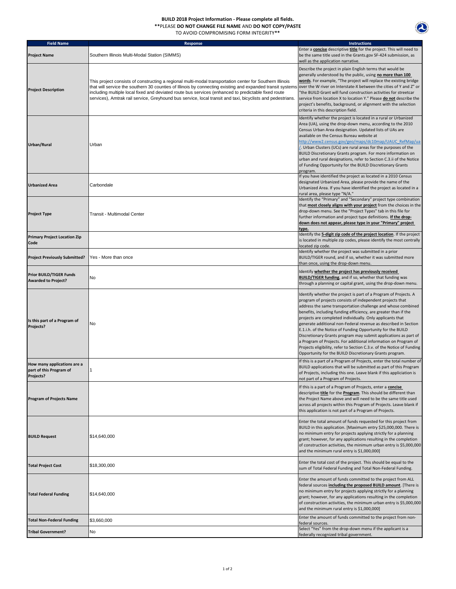### **BUILD 2018 Project Information - Please complete all fields.**

**\*\***PLEASE **DO NOT CHANGE FILE NAME** AND **DO NOT COPY/PASTE** 

2

TO AVOID COMPROMISING FORM INTEGRITY**\*\***

| <b>Field Name</b>                                                   | <b>Response</b>                                                                                                                                                                                                                                                                                                                                                                                                                                                                                                | <b>Instructions</b>                                                                                                                                                                                                                                                                                                                                                                                                                                                                                                                                                                                                                                                                                                                        |
|---------------------------------------------------------------------|----------------------------------------------------------------------------------------------------------------------------------------------------------------------------------------------------------------------------------------------------------------------------------------------------------------------------------------------------------------------------------------------------------------------------------------------------------------------------------------------------------------|--------------------------------------------------------------------------------------------------------------------------------------------------------------------------------------------------------------------------------------------------------------------------------------------------------------------------------------------------------------------------------------------------------------------------------------------------------------------------------------------------------------------------------------------------------------------------------------------------------------------------------------------------------------------------------------------------------------------------------------------|
| <b>Project Name</b>                                                 | Southern Illinois Multi-Modal Station (SIMMS)                                                                                                                                                                                                                                                                                                                                                                                                                                                                  | Enter a <b>concise</b> descriptive <b>title</b> for the project. This will need to<br>be the same title used in the Grants.gov SF-424 submission, as<br>well as the application narrative.                                                                                                                                                                                                                                                                                                                                                                                                                                                                                                                                                 |
| <b>Project Description</b>                                          | This project consists of constructing a regional multi-modal transportation center for Southern Illinois<br>that will service the southern 30 counties of Illinois by connecting existing and expanded transit systems over the W river on Interstate-X between the cities of Y and Z" or<br>including multiple local fixed and deviated route bus services (enhanced to predictable fixed route<br>services), Amtrak rail service, Greyhound bus service, local transit and taxi, bicyclists and pedestrians. | Describe the project in plain English terms that would be<br>generally understood by the public, using no more than 100<br>words. For example, "The project will replace the existing bridge<br>'the BUILD Grant will fund construction activities for streetcar<br>service from location X to location Y." Please do not describe the<br>project's benefits, background, or alignment with the selection<br>criteria in this description field.                                                                                                                                                                                                                                                                                           |
| Urban/Rural                                                         | Urban                                                                                                                                                                                                                                                                                                                                                                                                                                                                                                          | Identify whether the project is located in a rural or Urbanized<br>Area (UA), using the drop-down menu, according to the 2010<br>Census Urban Area designation. Updated lists of UAs are<br>available on the Census Bureau website at<br>http://www2.census.gov/geo/maps/dc10map/UAUC_RefMap/ua<br>L. Urban Clusters (UCs) are rural areas for the purposes of the<br>BUILD Discretionary Grants program. For more information on<br>urban and rural designations, refer to Section C.3.ii of the Notice<br>of Funding Opportunity for the BUILD Discretionary Grants<br>program.                                                                                                                                                          |
| Urbanized Area                                                      | Carbondale                                                                                                                                                                                                                                                                                                                                                                                                                                                                                                     | If you have identified the project as located in a 2010 Census<br>designated Urbanized Area, please provide the name of the<br>Urbanized Area. If you have identified the project as located in a<br>rural area, please type "N/A."                                                                                                                                                                                                                                                                                                                                                                                                                                                                                                        |
| <b>Project Type</b>                                                 | Transit - Multimodal Center                                                                                                                                                                                                                                                                                                                                                                                                                                                                                    | Identify the "Primary" and "Secondary" project type combination<br>that most closely aligns with your project from the choices in the<br>drop-down menu. See the "Project Types" tab in this file for<br>further information and project type definitions. If the drop-<br>down does not appear, please type in your "Primary" project<br>type.                                                                                                                                                                                                                                                                                                                                                                                            |
| <b>Primary Project Location Zip</b><br>Code                         |                                                                                                                                                                                                                                                                                                                                                                                                                                                                                                                | Identify the 5-digit zip code of the project location. If the project<br>is located in multiple zip codes, please identify the most centrally                                                                                                                                                                                                                                                                                                                                                                                                                                                                                                                                                                                              |
| <b>Project Previously Submitted?</b>                                | Yes - More than once                                                                                                                                                                                                                                                                                                                                                                                                                                                                                           | located zip code.<br>Identify whether the project was submitted in a prior<br>BUILD/TIGER round, and if so, whether it was submitted more<br>than once, using the drop-down menu.                                                                                                                                                                                                                                                                                                                                                                                                                                                                                                                                                          |
| <b>Prior BUILD/TIGER Funds</b><br><b>Awarded to Project?</b>        | No                                                                                                                                                                                                                                                                                                                                                                                                                                                                                                             | Identify whether the project has previously received<br><b>BUILD/TIGER funding</b> , and if so, whether that funding was<br>through a planning or capital grant, using the drop-down menu.                                                                                                                                                                                                                                                                                                                                                                                                                                                                                                                                                 |
| Is this part of a Program of<br>Projects?                           | No                                                                                                                                                                                                                                                                                                                                                                                                                                                                                                             | Identify whether the project is part of a Program of Projects. A<br>program of projects consists of independent projects that<br>address the same transportation challenge and whose combined<br>benefits, including funding efficiency, are greater than if the<br>projects are completed individually. Only applicants that<br>generate additional non-Federal revenue as described in Section<br>E.1.i.h. of the Notice of Funding Opportunity for the BUILD<br>Discretionary Grants program may submit applications as part of<br>a Program of Projects. For additional information on Program of<br>Projects eligibility, refer to Section C.3.v. of the Notice of Funding<br>Opportunity for the BUILD Discretionary Grants program. |
| How many applications are a<br>part of this Program of<br>Projects? |                                                                                                                                                                                                                                                                                                                                                                                                                                                                                                                | If this is a part of a Program of Projects, enter the total number of<br>BUILD applications that will be submitted as part of this Program<br>of Projects, including this one. Leave blank if this appliciation is<br>not part of a Program of Projects.                                                                                                                                                                                                                                                                                                                                                                                                                                                                                   |
| <b>Program of Projects Name</b>                                     |                                                                                                                                                                                                                                                                                                                                                                                                                                                                                                                | If this is a part of a Program of Projects, enter a concise<br>descriptive title for the Program. This should be different than<br>the Project Name above and will need to be the same title used<br>across all projects within this Program of Projects. Leave blank if<br>this application is not part of a Program of Projects.                                                                                                                                                                                                                                                                                                                                                                                                         |
| <b>BUILD Request</b>                                                | \$14,640,000                                                                                                                                                                                                                                                                                                                                                                                                                                                                                                   | Enter the total amount of funds requested for this project from<br>BUILD in this application. [Maximum entry \$25,000,000. There is<br>no minimum entry for projects applying strictly for a planning<br>grant; however, for any applications resulting in the completion<br>of construction activities, the minimum urban entry is \$5,000,000<br>and the minimum rural entry is \$1,000,000]                                                                                                                                                                                                                                                                                                                                             |
| <b>Total Project Cost</b>                                           | \$18,300,000                                                                                                                                                                                                                                                                                                                                                                                                                                                                                                   | Enter the total cost of the project. This should be equal to the<br>sum of Total Federal Funding and Total Non-Federal Funding.                                                                                                                                                                                                                                                                                                                                                                                                                                                                                                                                                                                                            |
| <b>Total Federal Funding</b>                                        | \$14,640,000                                                                                                                                                                                                                                                                                                                                                                                                                                                                                                   | Enter the amount of funds committed to the project from ALL<br>federal sources including the proposed BUILD amount. [There is<br>no minimum entry for projects applying strictly for a planning<br>grant; however, for any applications resulting in the completion<br>of construction activities, the minimum urban entry is \$5,000,000<br>and the minimum rural entry is \$1,000,000]                                                                                                                                                                                                                                                                                                                                                   |
| <b>Total Non-Federal Funding</b>                                    | \$3,660,000                                                                                                                                                                                                                                                                                                                                                                                                                                                                                                    | Enter the amount of funds committed to the project from non-<br>federal sources.                                                                                                                                                                                                                                                                                                                                                                                                                                                                                                                                                                                                                                                           |
| <b>Tribal Government?</b>                                           | No                                                                                                                                                                                                                                                                                                                                                                                                                                                                                                             | Select "Yes" from the drop-down menu if the applicant is a<br>federally recognized tribal government.                                                                                                                                                                                                                                                                                                                                                                                                                                                                                                                                                                                                                                      |